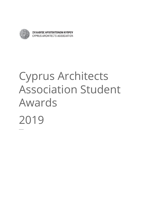

ΣΥΛΛΟΓΟΣ ΑΡΧΙΤΕΚΤΟΝΩΝ ΚΥΠΡΟΥ CYPRUS ARCHITECTS ASSOCIATION

# Cyprus Architects Association Student Awards 2019 ─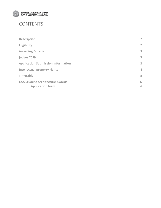

#### CONTENTS

| <b>Description</b>                                                | $\overline{2}$ |
|-------------------------------------------------------------------|----------------|
| Eligibility                                                       | $\overline{2}$ |
| <b>Awarding Criteria</b>                                          | 3              |
| Judges 2019                                                       | 3              |
| <b>Application Submission Information</b>                         | 3              |
| <b>Intellectual property rights</b>                               | $\overline{4}$ |
| <b>Timetable</b>                                                  | 5              |
| <b>CAA Student Architecture Awards</b><br><b>Application form</b> | 6<br>6         |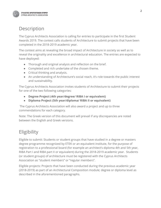

### <span id="page-2-0"></span>**Description**

The Cyprus Architects Association is calling for entries to participate in the first Student Awards 2019. The contest calls students of Architecture to submit projects that have been completed in the 2018-2019 academic year.

The contest aims at revealing the broad impact of Architecture in society as well as to reveal the originality and excellence in architectural education. The entries are expected to have deployed:

- Thorough and original analysis and reflection on the brief.
- Completed and rich undertake of the chosen theme.
- Critical thinking and analysis.
- An understanding of Architecture's social reach, it's role towards the public interest and sustainability.

The Cyprus Architects Association invites students of Architecture to submit their projects for one of the two following categories:

- **● Degree Project (4th year/degree/ RIBA I or equivalent)**
- **● Diploma Project (5th year/diploma/ RIBA II or equivalent)**

The Cyprus Architects Association will also award a project and up to three commendations for each category.

Note: The Greek version of this document will prevail if any discrepancies are noted between the English and Greek versions.

## <span id="page-2-1"></span>Eligibility

Eligible to submit: Students or student groups that have studied in a degree or masters degree programme recognized by ETEK or an equivalent institute, for the purpose of registration to a professional board (for example an architect's diploma 4th and 5th year, RIBA Part I and RIBA part II or equivalent) during the 2018-2019 academic year. Students (or student groups) of architecture must be registered with the Cyprus Architects Association as "student members" or "regular members".

Eligible projects: Projects that have been conducted during the previous academic year (2018-2019) as part of an Architectural Composition module; degree or diploma level as described in the aforementioned paragraphs.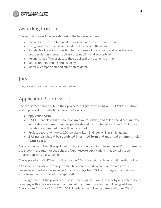

### Awarding Criteria

The submissions will be awarded using the following criteria:

- The architectural ambition, ideas involved and scope of innovation.
- Design approach as it is reflected in all aspects of the design.
- Suitability of goal in connection to the theme of the project, and reflection on broader design themes such as sustainability and accessibility.
- Relationship of the project to the social and physical environment.
- Spatial understanding and usability.
- <span id="page-3-0"></span>● Material composition and attention to detail.

#### Jury

The Jury will be announced at a later stage.

#### Application Submission

The candidates should submit their projects in digital form using a CD / DVD / USB Drive and in physical form which contains the following:

- Application form
- 2 A1 JPG panels in high resolution (minimum 300dpi) and at least 59.4 centimetres in the shortest dimension. The panels should be numbered as 01 and 02. If more panels are submitted they will be discarded.
- Project description (up to 200 words) written in Greek or English language.
- **2 Α1 panels should be submitted in printed form and mounted on 3mm thick foam-board.**

None of the submitted files (printed or digital) should contain the name and/or surname of the student, the tutor, or the School of Architecture. Applications that contain such information will be disqualified.

The applications MUST be submitted to the CAA offices at the dates and times that follow.

CAA is not responsible for projects that have not been delivered, or for lost items / packages and will not be subjected to any postage fees, VAT or postage costs that may arise from the transportation of applications.

It is suggested that the projects are posted through the Cyprus Post or by a private delivery company with a delivery receipt, or handed in at CAA offices in the following address: Stasicratous 24, office 201 – 202, 1065 Nicosia at the following dates and times ONLY: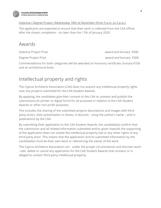

Diploma / Degree Project: Wednesday 18th of December (from 9 a.m. to 5 p.m.)

The applicants are expected to ensure that their work is collected from the CAA offices after the show's completion - no later than the 17th of January 2020.

#### <span id="page-4-0"></span>Awards

Diploma Project Prize award and bursary €500

Degree Project Prize award and bursary €300

Commendations for both categories will be awarded an honorary certificate, bursary €100 and an architectural book.

## Intellectual property and rights

The Cyprus Architects Association (CAA) does not acquire any intellectual property rights over any projects submitted for the CAA Student Awards.

By applying, the candidates give their consent to the CAA to: present and publish the submissions (in printer or digital form) for all purposes in relation to the CAA Student Awards or other non-profit purposes.

This includes the sharing of the submitted projects descriptions and images with third party actors, their presentation in shows, in lectures - using the author's name -, and in publications by the CAA.

By submitting their application to the CAA Student Awards, the candidate(s) confirm that the submission and all related information submitted and/or given towards the supporting of the application does not violate the intellectual property law or any other rights of any third party actor. This means that the application and its submitted information by the candidate(s) must be their own work or referencing the owner of the work.

<span id="page-4-1"></span>The Cyprus Architects Association can - under the proper circumstances and discreet reach - edit, delete or cancel any application for the CAA Student Awards that contains or is alleged to contain third party intellectual property.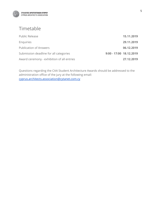

#### Timetable

| Public Release                             |                         | 15.11.2019 |
|--------------------------------------------|-------------------------|------------|
| Enquiries                                  |                         | 29.11.2019 |
| <b>Publication of Answers</b>              |                         | 06.12.2019 |
| Submission deadline for all categories     | 9:00 - 17:00 18.12.2019 |            |
| Award ceremony - exhibition of all entries |                         | 27.12.2019 |

Questions regarding the CAA Student Architecture Awards should be addressed to the administration office of the jury at the following email: [cyprus.architects.association@cytanet.com.cy](mailto:cyprus.architects.association@cytanet.com.cy)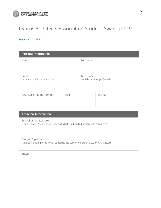

# <span id="page-6-0"></span>Cyprus Architects Association Student Awards 2019

#### <span id="page-6-1"></span>Application form

| <b>Personal Information</b>              |      |            |                           |  |
|------------------------------------------|------|------------|---------------------------|--|
| Name:                                    |      | Surname:   |                           |  |
| Email:<br>(activated until January 2020) |      | Telephone: | (mobile number preferred) |  |
| <b>CAA Registration Number:</b>          | Sex: |            | D.O.B.:                   |  |

| <b>Academic Information</b>                                                                             |
|---------------------------------------------------------------------------------------------------------|
| School of Architecture:<br>(The School of Architecture under which the submitted project was conducted) |
| Degree/Diploma<br>(Degree name/diploma which concerns the submitted project; i.e. BA Architecture)      |
| Tutor:                                                                                                  |